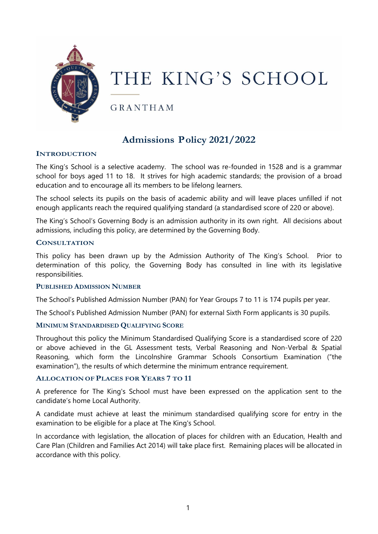

# THE KING'S SCHOOL

**GRANTHAM** 

# **Admissions Policy 2021/2022**

# **INTRODUCTION**

The King's School is a selective academy. The school was re-founded in 1528 and is a grammar school for boys aged 11 to 18. It strives for high academic standards; the provision of a broad education and to encourage all its members to be lifelong learners.

The school selects its pupils on the basis of academic ability and will leave places unfilled if not enough applicants reach the required qualifying standard (a standardised score of 220 or above).

The King's School's Governing Body is an admission authority in its own right. All decisions about admissions, including this policy, are determined by the Governing Body.

#### **CONSULTATION**

This policy has been drawn up by the Admission Authority of The King's School. Prior to determination of this policy, the Governing Body has consulted in line with its legislative responsibilities.

### **PUBLISHED ADMISSION NUMBER**

The School's Published Admission Number (PAN) for Year Groups 7 to 11 is 174 pupils per year.

The School's Published Admission Number (PAN) for external Sixth Form applicants is 30 pupils.

### **MINIMUM STANDARDISED QUALIFYING SCORE**

Throughout this policy the Minimum Standardised Qualifying Score is a standardised score of 220 or above achieved in the GL Assessment tests, Verbal Reasoning and Non-Verbal & Spatial Reasoning, which form the Lincolnshire Grammar Schools Consortium Examination ("the examination"), the results of which determine the minimum entrance requirement.

### **ALLOCATION OF PLACES FOR YEARS 7 TO 11**

A preference for The King's School must have been expressed on the application sent to the candidate's home Local Authority.

A candidate must achieve at least the minimum standardised qualifying score for entry in the examination to be eligible for a place at The King's School.

In accordance with legislation, the allocation of places for children with an Education, Health and Care Plan (Children and Families Act 2014) will take place first. Remaining places will be allocated in accordance with this policy.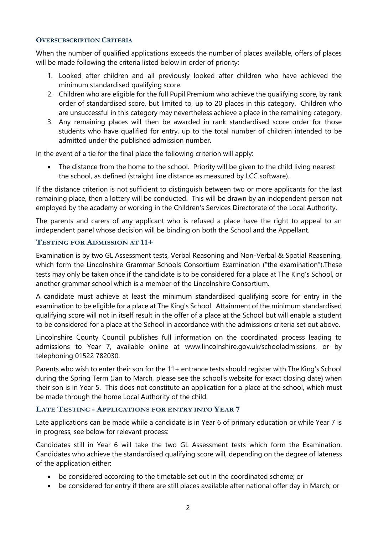# **OVERSUBSCRIPTION CRITERIA**

When the number of qualified applications exceeds the number of places available, offers of places will be made following the criteria listed below in order of priority:

- 1. Looked after children and all previously looked after children who have achieved the minimum standardised qualifying score.
- 2. Children who are eligible for the full Pupil Premium who achieve the qualifying score, by rank order of standardised score, but limited to, up to 20 places in this category. Children who are unsuccessful in this category may nevertheless achieve a place in the remaining category.
- 3. Any remaining places will then be awarded in rank standardised score order for those students who have qualified for entry, up to the total number of children intended to be admitted under the published admission number.

In the event of a tie for the final place the following criterion will apply:

 The distance from the home to the school. Priority will be given to the child living nearest the school, as defined (straight line distance as measured by LCC software).

If the distance criterion is not sufficient to distinguish between two or more applicants for the last remaining place, then a lottery will be conducted. This will be drawn by an independent person not employed by the academy or working in the Children's Services Directorate of the Local Authority.

The parents and carers of any applicant who is refused a place have the right to appeal to an independent panel whose decision will be binding on both the School and the Appellant.

# **TESTING FOR ADMISSION AT 11+**

Examination is by two GL Assessment tests, Verbal Reasoning and Non-Verbal & Spatial Reasoning, which form the Lincolnshire Grammar Schools Consortium Examination ("the examination").These tests may only be taken once if the candidate is to be considered for a place at The King's School, or another grammar school which is a member of the Lincolnshire Consortium.

A candidate must achieve at least the minimum standardised qualifying score for entry in the examination to be eligible for a place at The King's School. Attainment of the minimum standardised qualifying score will not in itself result in the offer of a place at the School but will enable a student to be considered for a place at the School in accordance with the admissions criteria set out above.

Lincolnshire County Council publishes full information on the coordinated process leading to admissions to Year 7, available online at www.lincolnshire.gov.uk/schooladmissions, or by telephoning 01522 782030.

Parents who wish to enter their son for the 11+ entrance tests should register with The King's School during the Spring Term (Jan to March, please see the school's website for exact closing date) when their son is in Year 5. This does not constitute an application for a place at the school, which must be made through the home Local Authority of the child.

### **LATE TESTING - APPLICATIONS FOR ENTRY INTO YEAR 7**

Late applications can be made while a candidate is in Year 6 of primary education or while Year 7 is in progress, see below for relevant process:

Candidates still in Year 6 will take the two GL Assessment tests which form the Examination. Candidates who achieve the standardised qualifying score will, depending on the degree of lateness of the application either:

- be considered according to the timetable set out in the coordinated scheme; or
- be considered for entry if there are still places available after national offer day in March; or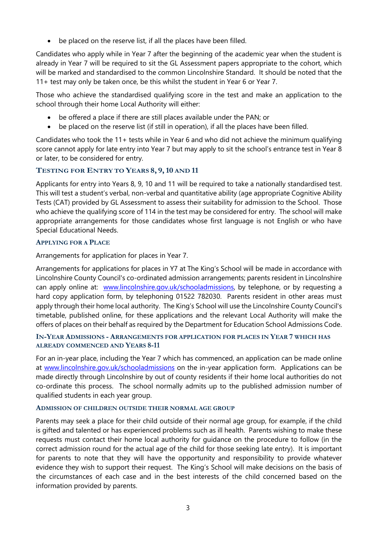be placed on the reserve list, if all the places have been filled.

Candidates who apply while in Year 7 after the beginning of the academic year when the student is already in Year 7 will be required to sit the GL Assessment papers appropriate to the cohort, which will be marked and standardised to the common Lincolnshire Standard. It should be noted that the 11+ test may only be taken once, be this whilst the student in Year 6 or Year 7.

Those who achieve the standardised qualifying score in the test and make an application to the school through their home Local Authority will either:

- be offered a place if there are still places available under the PAN; or
- be placed on the reserve list (if still in operation), if all the places have been filled.

Candidates who took the 11+ tests while in Year 6 and who did not achieve the minimum qualifying score cannot apply for late entry into Year 7 but may apply to sit the school's entrance test in Year 8 or later, to be considered for entry.

# **TESTING FOR ENTRY TO YEARS 8, 9,10 AND 11**

Applicants for entry into Years 8, 9, 10 and 11 will be required to take a nationally standardised test. This will test a student's verbal, non-verbal and quantitative ability (age appropriate Cognitive Ability Tests (CAT) provided by GL Assessment to assess their suitability for admission to the School. Those who achieve the qualifying score of 114 in the test may be considered for entry. The school will make appropriate arrangements for those candidates whose first language is not English or who have Special Educational Needs.

# **APPLYING FOR A PLACE**

Arrangements for application for places in Year 7.

Arrangements for applications for places in Y7 at The King's School will be made in accordance with Lincolnshire County Council's co-ordinated admission arrangements; parents resident in Lincolnshire can apply online at: [www.lincolnshire.gov.uk/schooladmissions,](http://www.lincolnshire.gov.uk/schooladmissions) by telephone, or by requesting a hard copy application form, by telephoning 01522 782030. Parents resident in other areas must apply through their home local authority. The King's School will use the Lincolnshire County Council's timetable, published online, for these applications and the relevant Local Authority will make the offers of places on their behalf as required by the Department for Education School Admissions Code.

# **IN-YEAR ADMISSIONS - ARRANGEMENTS FOR APPLICATION FOR PLACES IN YEAR 7 WHICH HAS ALREADY COMMENCED AND YEARS 8-11**

For an in-year place, including the Year 7 which has commenced, an application can be made online at [www.lincolnshire.gov.uk/schooladmissions](http://www.lincolnshire.gov.uk/schooladmissions) on the in-year application form. Applications can be made directly through Lincolnshire by out of county residents if their home local authorities do not co-ordinate this process. The school normally admits up to the published admission number of qualified students in each year group.

### **ADMISSION OF CHILDREN OUTSIDE THEIR NORMAL AGE GROUP**

Parents may seek a place for their child outside of their normal age group, for example, if the child is gifted and talented or has experienced problems such as ill health. Parents wishing to make these requests must contact their home local authority for guidance on the procedure to follow (in the correct admission round for the actual age of the child for those seeking late entry). It is important for parents to note that they will have the opportunity and responsibility to provide whatever evidence they wish to support their request. The King's School will make decisions on the basis of the circumstances of each case and in the best interests of the child concerned based on the information provided by parents.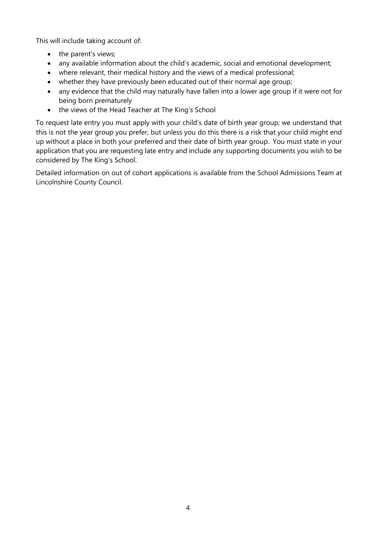This will include taking account of:

- the parent's views;
- any available information about the child's academic, social and emotional development;
- where relevant, their medical history and the views of a medical professional;
- whether they have previously been educated out of their normal age group;
- any evidence that the child may naturally have fallen into a lower age group if it were not for being born prematurely
- the views of the Head Teacher at The King's School

To request late entry you must apply with your child's date of birth year group; we understand that this is not the year group you prefer, but unless you do this there is a risk that your child might end up without a place in both your preferred and their date of birth year group. You must state in your application that you are requesting late entry and include any supporting documents you wish to be considered by The King's School.

Detailed information on out of cohort applications is available from the School Admissions Team at Lincolnshire County Council.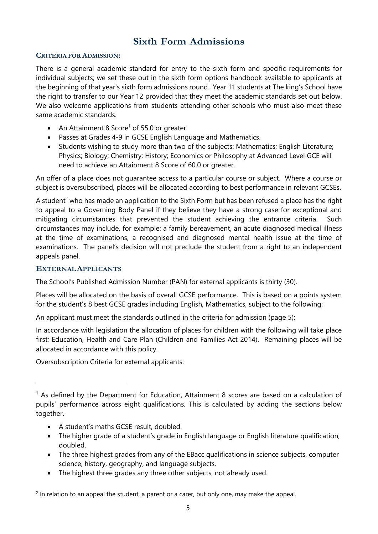# **Sixth Form Admissions**

# **CRITERIA FOR ADMISSION:**

There is a general academic standard for entry to the sixth form and specific requirements for individual subjects; we set these out in the sixth form options handbook available to applicants at the beginning of that year's sixth form admissions round. Year 11 students at The king's School have the right to transfer to our Year 12 provided that they meet the academic standards set out below. We also welcome applications from students attending other schools who must also meet these same academic standards.

- An Attainment 8 Score<sup>1</sup> of 55.0 or greater.
- Passes at Grades 4-9 in GCSE English Language and Mathematics.
- Students wishing to study more than two of the subjects: Mathematics; English Literature; Physics; Biology; Chemistry; History; Economics or Philosophy at Advanced Level GCE will need to achieve an Attainment 8 Score of 60.0 or greater.

An offer of a place does not guarantee access to a particular course or subject. Where a course or subject is oversubscribed, places will be allocated according to best performance in relevant GCSEs.

A student<sup>2</sup> who has made an application to the Sixth Form but has been refused a place has the right to appeal to a Governing Body Panel if they believe they have a strong case for exceptional and mitigating circumstances that prevented the student achieving the entrance criteria. Such circumstances may include, for example: a family bereavement, an acute diagnosed medical illness at the time of examinations, a recognised and diagnosed mental health issue at the time of examinations. The panel's decision will not preclude the student from a right to an independent appeals panel.

# **EXTERNALAPPLICANTS**

 $\overline{a}$ 

The School's Published Admission Number (PAN) for external applicants is thirty (30).

Places will be allocated on the basis of overall GCSE performance. This is based on a points system for the student's 8 best GCSE grades including English, Mathematics, subject to the following:

An applicant must meet the standards outlined in the criteria for admission (page 5);

In accordance with legislation the allocation of places for children with the following will take place first; Education, Health and Care Plan (Children and Families Act 2014). Remaining places will be allocated in accordance with this policy.

Oversubscription Criteria for external applicants:

- A student's maths GCSE result, doubled.
- The higher grade of a student's grade in English language or English literature qualification, doubled.
- The three highest grades from any of the EBacc qualifications in science subjects, computer science, history, geography, and language subjects.
- The highest three grades any three other subjects, not already used.

 $<sup>1</sup>$  As defined by the Department for Education, Attainment 8 scores are based on a calculation of</sup> pupils' performance across eight qualifications. This is calculated by adding the sections below together.

 $<sup>2</sup>$  In relation to an appeal the student, a parent or a carer, but only one, may make the appeal.</sup>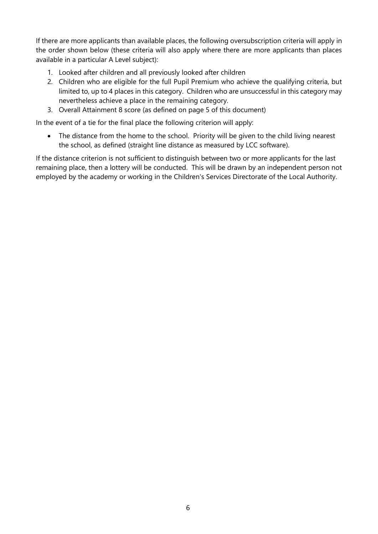If there are more applicants than available places, the following oversubscription criteria will apply in the order shown below (these criteria will also apply where there are more applicants than places available in a particular A Level subject):

- 1. Looked after children and all previously looked after children
- 2. Children who are eligible for the full Pupil Premium who achieve the qualifying criteria, but limited to, up to 4 places in this category. Children who are unsuccessful in this category may nevertheless achieve a place in the remaining category.
- 3. Overall Attainment 8 score (as defined on page 5 of this document)

In the event of a tie for the final place the following criterion will apply:

• The distance from the home to the school. Priority will be given to the child living nearest the school, as defined (straight line distance as measured by LCC software).

If the distance criterion is not sufficient to distinguish between two or more applicants for the last remaining place, then a lottery will be conducted. This will be drawn by an independent person not employed by the academy or working in the Children's Services Directorate of the Local Authority.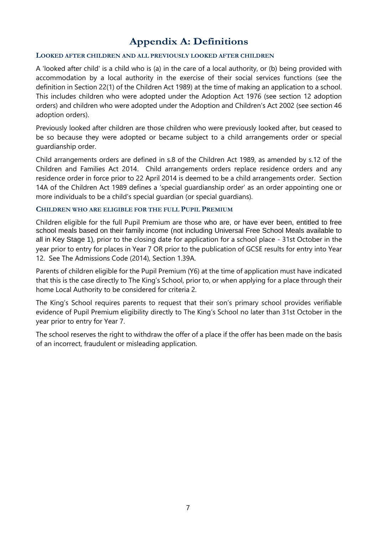# **Appendix A: Definitions**

### **LOOKED AFTER CHILDREN AND ALL PREVIOUSLY LOOKED AFTER CHILDREN**

A 'looked after child' is a child who is (a) in the care of a local authority, or (b) being provided with accommodation by a local authority in the exercise of their social services functions (see the definition in Section 22(1) of the Children Act 1989) at the time of making an application to a school. This includes children who were adopted under the Adoption Act 1976 (see section 12 adoption orders) and children who were adopted under the Adoption and Children's Act 2002 (see section 46 adoption orders).

Previously looked after children are those children who were previously looked after, but ceased to be so because they were adopted or became subject to a child arrangements order or special guardianship order.

Child arrangements orders are defined in s.8 of the Children Act 1989, as amended by s.12 of the Children and Families Act 2014. Child arrangements orders replace residence orders and any residence order in force prior to 22 April 2014 is deemed to be a child arrangements order. Section 14A of the Children Act 1989 defines a 'special guardianship order' as an order appointing one or more individuals to be a child's special guardian (or special guardians).

### **CHILDREN WHO ARE ELIGIBLE FOR THE FULL PUPIL PREMIUM**

Children eligible for the full Pupil Premium are those who are, or have ever been, entitled to free school meals based on their family income (not including Universal Free School Meals available to all in Key Stage 1), prior to the closing date for application for a school place - 31st October in the year prior to entry for places in Year 7 OR prior to the publication of GCSE results for entry into Year 12. See The Admissions Code (2014), Section 1.39A.

Parents of children eligible for the Pupil Premium (Y6) at the time of application must have indicated that this is the case directly to The King's School, prior to, or when applying for a place through their home Local Authority to be considered for criteria 2.

The King's School requires parents to request that their son's primary school provides verifiable evidence of Pupil Premium eligibility directly to The King's School no later than 31st October in the year prior to entry for Year 7.

The school reserves the right to withdraw the offer of a place if the offer has been made on the basis of an incorrect, fraudulent or misleading application.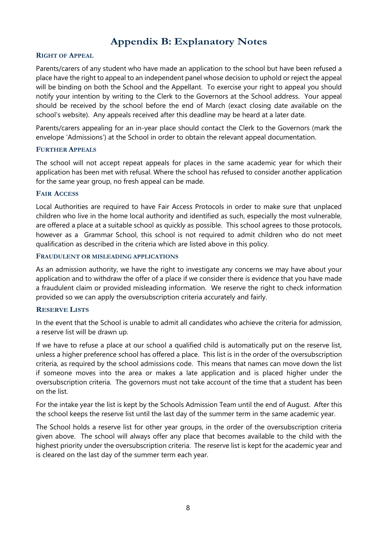# **Appendix B: Explanatory Notes**

# **RIGHT OF APPEAL**

Parents/carers of any student who have made an application to the school but have been refused a place have the right to appeal to an independent panel whose decision to uphold or reject the appeal will be binding on both the School and the Appellant. To exercise your right to appeal you should notify your intention by writing to the Clerk to the Governors at the School address. Your appeal should be received by the school before the end of March (exact closing date available on the school's website). Any appeals received after this deadline may be heard at a later date.

Parents/carers appealing for an in-year place should contact the Clerk to the Governors (mark the envelope 'Admissions') at the School in order to obtain the relevant appeal documentation.

### **FURTHER APPEALS**

The school will not accept repeat appeals for places in the same academic year for which their application has been met with refusal. Where the school has refused to consider another application for the same year group, no fresh appeal can be made.

### **FAIR ACCESS**

Local Authorities are required to have Fair Access Protocols in order to make sure that unplaced children who live in the home local authority and identified as such, especially the most vulnerable, are offered a place at a suitable school as quickly as possible. This school agrees to those protocols, however as a Grammar School, this school is not required to admit children who do not meet qualification as described in the criteria which are listed above in this policy.

#### **FRAUDULENT OR MISLEADING APPLICATIONS**

As an admission authority, we have the right to investigate any concerns we may have about your application and to withdraw the offer of a place if we consider there is evidence that you have made a fraudulent claim or provided misleading information. We reserve the right to check information provided so we can apply the oversubscription criteria accurately and fairly.

### **RESERVE LISTS**

In the event that the School is unable to admit all candidates who achieve the criteria for admission, a reserve list will be drawn up.

If we have to refuse a place at our school a qualified child is automatically put on the reserve list, unless a higher preference school has offered a place. This list is in the order of the oversubscription criteria, as required by the school admissions code. This means that names can move down the list if someone moves into the area or makes a late application and is placed higher under the oversubscription criteria. The governors must not take account of the time that a student has been on the list.

For the intake year the list is kept by the Schools Admission Team until the end of August. After this the school keeps the reserve list until the last day of the summer term in the same academic year.

The School holds a reserve list for other year groups, in the order of the oversubscription criteria given above. The school will always offer any place that becomes available to the child with the highest priority under the oversubscription criteria. The reserve list is kept for the academic year and is cleared on the last day of the summer term each year.